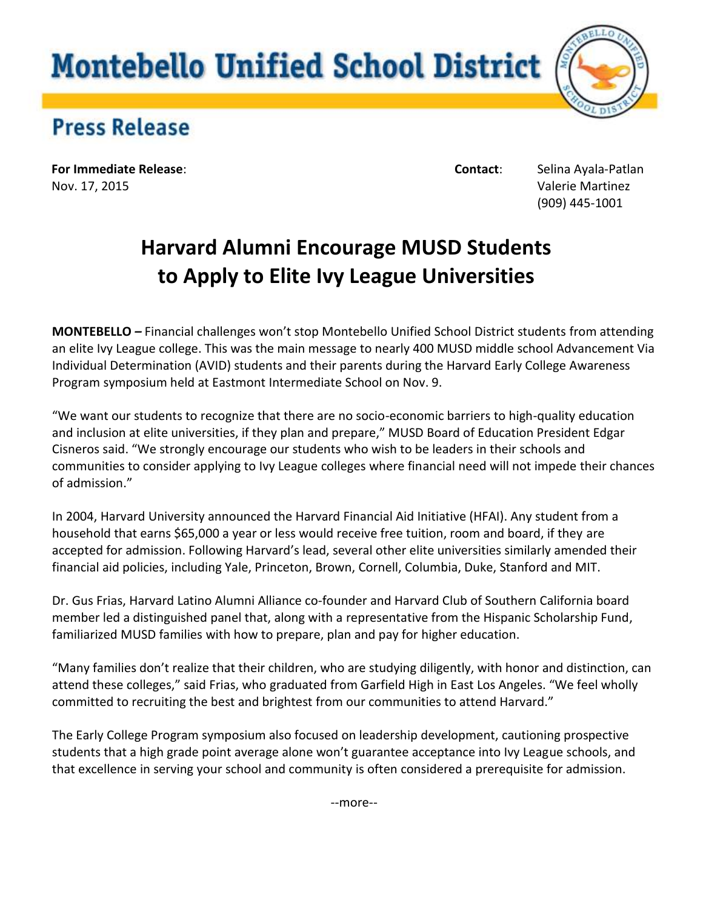## **Montebello Unified School District**



## **Press Release**

**For Immediate Release**: **Contact**: Selina Ayala-Patlan Nov. 17, 2015 Valerie Martinez

(909) 445-1001

## **Harvard Alumni Encourage MUSD Students to Apply to Elite Ivy League Universities**

**MONTEBELLO** *–* Financial challenges won't stop Montebello Unified School District students from attending an elite Ivy League college. This was the main message to nearly 400 MUSD middle school Advancement Via Individual Determination (AVID) students and their parents during the Harvard Early College Awareness Program symposium held at Eastmont Intermediate School on Nov. 9.

"We want our students to recognize that there are no socio-economic barriers to high-quality education and inclusion at elite universities, if they plan and prepare," MUSD Board of Education President Edgar Cisneros said. "We strongly encourage our students who wish to be leaders in their schools and communities to consider applying to Ivy League colleges where financial need will not impede their chances of admission."

In 2004, Harvard University announced the Harvard Financial Aid Initiative (HFAI). Any student from a household that earns \$65,000 a year or less would receive free tuition, room and board, if they are accepted for admission. Following Harvard's lead, several other elite universities similarly amended their financial aid policies, including Yale, Princeton, Brown, Cornell, Columbia, Duke, Stanford and MIT.

Dr. Gus Frias, Harvard Latino Alumni Alliance co-founder and Harvard Club of Southern California board member led a distinguished panel that, along with a representative from the Hispanic Scholarship Fund, familiarized MUSD families with how to prepare, plan and pay for higher education.

"Many families don't realize that their children, who are studying diligently, with honor and distinction, can attend these colleges," said Frias, who graduated from Garfield High in East Los Angeles. "We feel wholly committed to recruiting the best and brightest from our communities to attend Harvard."

The Early College Program symposium also focused on leadership development, cautioning prospective students that a high grade point average alone won't guarantee acceptance into Ivy League schools, and that excellence in serving your school and community is often considered a prerequisite for admission.

--more--